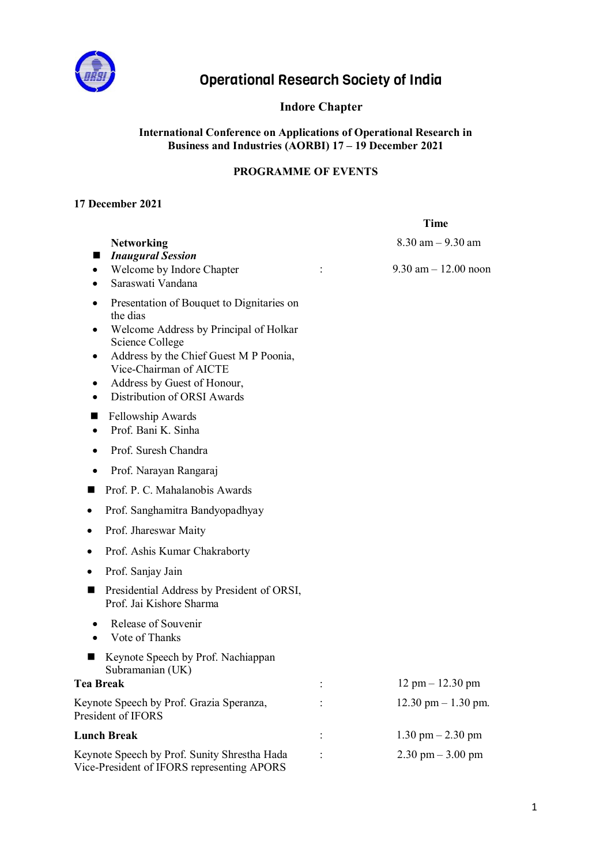

# Operational Research Society of India

## **Indore Chapter**

#### **International Conference on Applications of Operational Research in Business and Industries (AORBI) 17 – 19 December 2021**

## **PROGRAMME OF EVENTS**

#### **17 December 2021**

|                                                                                                                                                                                                                                                                                                                              | <b>Time</b>                           |
|------------------------------------------------------------------------------------------------------------------------------------------------------------------------------------------------------------------------------------------------------------------------------------------------------------------------------|---------------------------------------|
| <b>Networking</b>                                                                                                                                                                                                                                                                                                            | $8.30$ am $- 9.30$ am                 |
| <b>Inaugural Session</b><br>■<br>Welcome by Indore Chapter<br>$\bullet$<br>Saraswati Vandana<br>$\bullet$                                                                                                                                                                                                                    | $9.30$ am $-12.00$ noon               |
| Presentation of Bouquet to Dignitaries on<br>the dias<br>Welcome Address by Principal of Holkar<br>٠<br>Science College<br>Address by the Chief Guest M P Poonia,<br>٠<br>Vice-Chairman of AICTE<br>Address by Guest of Honour,<br>٠<br>Distribution of ORSI Awards<br>Fellowship Awards<br>Prof. Bani K. Sinha<br>$\bullet$ |                                       |
| Prof. Suresh Chandra                                                                                                                                                                                                                                                                                                         |                                       |
| Prof. Narayan Rangaraj                                                                                                                                                                                                                                                                                                       |                                       |
| Prof. P. C. Mahalanobis Awards                                                                                                                                                                                                                                                                                               |                                       |
| Prof. Sanghamitra Bandyopadhyay                                                                                                                                                                                                                                                                                              |                                       |
| Prof. Jhareswar Maity                                                                                                                                                                                                                                                                                                        |                                       |
| Prof. Ashis Kumar Chakraborty                                                                                                                                                                                                                                                                                                |                                       |
| Prof. Sanjay Jain                                                                                                                                                                                                                                                                                                            |                                       |
| Presidential Address by President of ORSI,<br>s<br>Prof. Jai Kishore Sharma                                                                                                                                                                                                                                                  |                                       |
| Release of Souvenir<br>٠<br>Vote of Thanks<br>$\bullet$                                                                                                                                                                                                                                                                      |                                       |
| Keynote Speech by Prof. Nachiappan<br>Subramanian (UK)                                                                                                                                                                                                                                                                       |                                       |
| <b>Tea Break</b>                                                                                                                                                                                                                                                                                                             | $12 \text{ pm} - 12.30 \text{ pm}$    |
| Keynote Speech by Prof. Grazia Speranza,<br>President of IFORS                                                                                                                                                                                                                                                               | $12.30 \text{ pm} - 1.30 \text{ pm}.$ |
| <b>Lunch Break</b>                                                                                                                                                                                                                                                                                                           | $1.30$ pm $- 2.30$ pm                 |
| Keynote Speech by Prof. Sunity Shrestha Hada<br>Vice-President of IFORS representing APORS                                                                                                                                                                                                                                   | $2.30$ pm $-3.00$ pm                  |